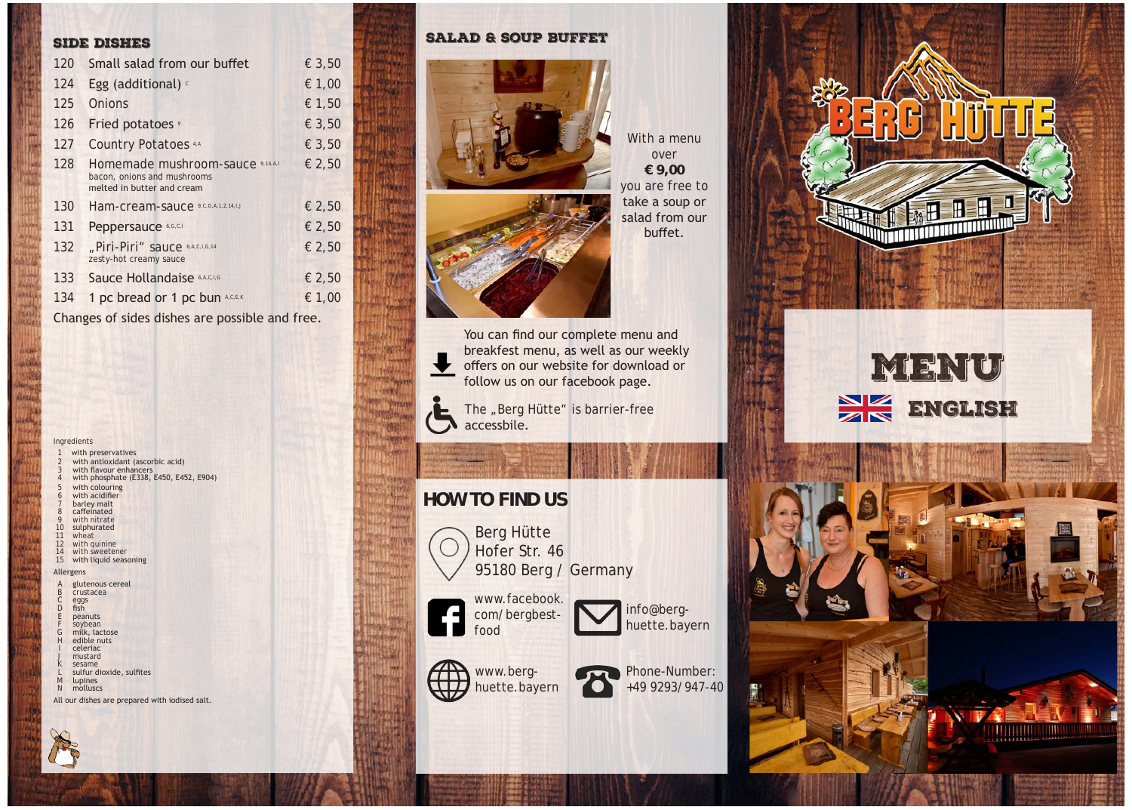#### side dishes

| 120 | Small salad from our buffet                                                                   | € 3,50 |
|-----|-----------------------------------------------------------------------------------------------|--------|
| 124 | Egg (additional) o                                                                            | € 1,00 |
| 125 | Onions                                                                                        | € 1,50 |
| 126 | Fried potatoes <sup>9</sup>                                                                   | € 3,50 |
| 127 | <b>Country Potatoes 4.A</b>                                                                   | € 3,50 |
| 128 | Homemade mushroom-sauce 9,14,A,I<br>bacon, onions and mushrooms<br>melted in butter and cream | € 2,50 |
| 130 | Ham-cream-sauce 9,C,G,A,1,2,14,1,J                                                            | € 2,50 |
| 131 | Peppersauce 6,G,C,I                                                                           | € 2,50 |
| 132 | "Piri-Piri" sauce 6,A,C,I,G,14<br>zesty-hot creamy sauce                                      | € 2,50 |
| 133 | Sauce Hollandaise 6,A,C,I,G                                                                   | € 2,50 |
| 134 | 1 pc bread or 1 pc bun A,C,E,K                                                                | € 1,00 |

Changes of sides dishes are possible and free.

#### Ingredients

- with preservatives with antioxidant (ascorbic acid)
- 
- 3 with flavour enhancers 4 with phosphate (E338, E450, E452, E904)
- with colouring with acidifier
- barley malt
- caffeinated
- 9 with nitrate<br>10 sulphurated sulphurated
- 11 wheat
- 12 with quinine
- 14 with sweetener 15 with liquid seasoning

#### Allergens

- glutenous cereal
- crustacea
- C eggs D fish
- E peanuts
- F soybean<br>G milk, lac G milk, lactose
- edible nuts I celeriac
- mustard
- sesame
- L sulfur dioxide, sulfites<br>M lupines lupines
- N molluscs

All our dishes are prepared with iodised salt.



### salad & soup buffet



With a menu over **€ 9,00** you are free to take a soup or salad from our buffet.



breakfest menu, as well as our weekly offers on our website for download or follow us on our facebook page.



 $\blacktriangleright$  The "Berg Hütte" is barrier-free accessbile.

# **HOW TO FIND US**



Berg Hütte Hofer Str. 46 95180 Berg / Germany

www.facebook. com/bergbestfood







# 同 팈 R